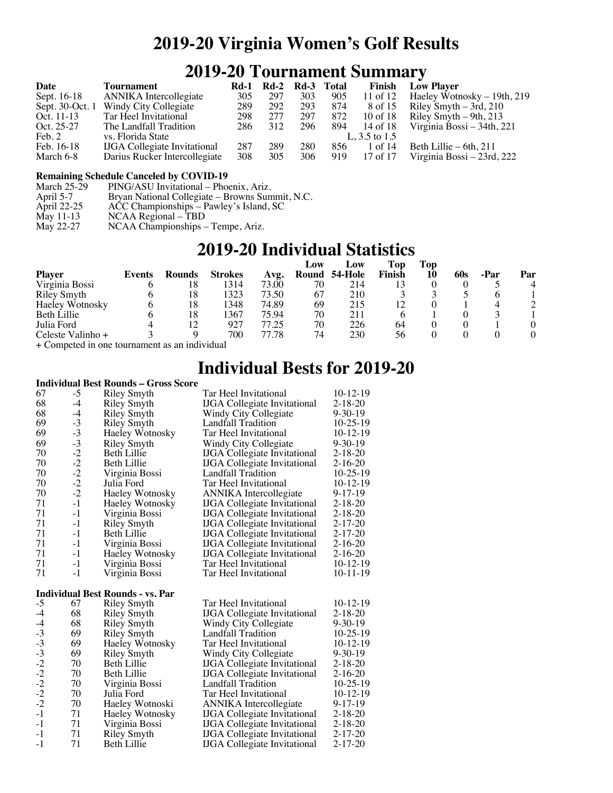### **2019-20 Virginia Women's Golf Results**

## **2019-20 Tournament Summary**

| Date        | <b>Tournament</b>                     |     | Rd-1 Rd-2 Rd-3 Total |     |     | Finish          | <b>Low Player</b>                     |
|-------------|---------------------------------------|-----|----------------------|-----|-----|-----------------|---------------------------------------|
| Sept. 16-18 | <b>ANNIKA</b> Intercollegiate         | 305 | 297                  | 303 | 905 | 11 of 12        | Haeley Wotnosky – 19th, 219           |
|             | Sept. 30-Oct. 1 Windy City Collegiate | 289 | 292                  | 293 | 874 | 8 of 15         | Riley Smyth $-$ 3rd, 210              |
| Oct. 11-13  | Tar Heel Invitational                 | 298 | 277                  | 297 | 872 | 10 of 18        | Riley Smyth $-$ 9th, 213              |
| Oct. 25-27  | The Landfall Tradition                | 286 | 312                  | 296 | 894 |                 | 14 of 18 Virginia Bossi $-34$ th, 221 |
| Feb. 2      | vs. Florida State                     |     |                      |     |     | L, $3.5$ to 1.5 |                                       |
| Feb. 16-18  | <b>IJGA</b> Collegiate Invitational   | 287 | 289                  | 280 | 856 | 1 of 14         | Beth Lillie $-6th$ , 211              |
| March 6-8   | Darius Rucker Intercollegiate         | 308 | 305                  | 306 | 919 | 17 of 17        | Virginia Bossi – 23rd, 222            |

# **Remaining Schedule Canceled by COVID-19**<br>March 25-29 PING/ASU Invitational - Pho

March 25-29 PING/ASU Invitational – Phoenix, Ariz.<br>April 5-7 Bryan National Collegiate – Browns Sun

April 5-7 Bryan National Collegiate – Browns Summit, N.C.<br>April 22-25 ACC Championships – Pawley's Island, SC

- April 22-25 ACC Championships Pawley's Island, SC
- May 11-13 NCAA Regional TBD
- May 11-13 NCAA Regional TBD<br>May 22-27 NCAA Championships Tempe, Ariz.

### **2019-20 Individual Statistics**

|                    |        |        |                |       | Low   | Low     | Top    | Top |      |     |
|--------------------|--------|--------|----------------|-------|-------|---------|--------|-----|------|-----|
| <b>Player</b>      | Events | Rounds | <b>Strokes</b> | Avg.  | Round | 54-Hole | Finish | 10  | -Par | Par |
| Virginia Bossi     |        | 18     | 1314           | 73.00 | 70    | 214     |        |     |      |     |
| <b>Riley Smyth</b> |        | 18     | 1323           | 73.50 | 67    | 210     |        |     |      |     |
| Haeley Wotnosky    |        | 18     | 1348           | 74.89 | 69    | 215     | 12     |     |      |     |
| Beth Lillie        |        | 18     | 1367           | 75.94 | 70    | 211     |        |     |      |     |
| Julia Ford         |        |        | 927            | 77.25 | 70    | 226     | 64     |     |      |     |
| Celeste Valinho +  |        |        | 700            | 77.78 | 74    | 230     | 56     |     |      |     |
|                    |        |        | .              |       |       |         |        |     |      |     |

+ Competed in one tournament as an individual

### **Individual Bests for 2019-20**

#### **Individual Best Rounds – Gross Score**

| 67                                   | $-5$         | Riley Smyth                             | Tar Heel Invitational               | $10-12-19$    |
|--------------------------------------|--------------|-----------------------------------------|-------------------------------------|---------------|
| 68                                   | $-4$         | Riley Smyth                             | <b>IJGA</b> Collegiate Invitational | $2 - 18 - 20$ |
| 68                                   | $-4$         | Riley Smyth                             | Windy City Collegiate               | $9 - 30 - 19$ |
| 69                                   | $-3$         | <b>Riley Smyth</b>                      | Landfall Tradition                  | $10-25-19$    |
| 69                                   | $-3$         | <b>Haeley Wotnosky</b>                  | Tar Heel Invitational               | $10-12-19$    |
| 69                                   | $-3$         | <b>Riley Smyth</b>                      | Windy City Collegiate               | $9 - 30 - 19$ |
| 70                                   | $-2$         | Beth Lillie                             | <b>IJGA</b> Collegiate Invitational | $2 - 18 - 20$ |
| 70                                   | $-2$         | Beth Lillie                             | <b>IJGA</b> Collegiate Invitational | $2 - 16 - 20$ |
| 70                                   | $-2$<br>$-2$ | Virginia Bossi                          | Landfall Tradition                  | $10-25-19$    |
| 70                                   |              | Julia Ford                              | Tar Heel Invitational               | $10-12-19$    |
| 70                                   | $-2$         | <b>Haeley Wotnosky</b>                  | <b>ANNIKA</b> Intercollegiate       | $9 - 17 - 19$ |
| 71                                   | $-1$         | <b>Haeley Wotnosky</b>                  | <b>IJGA</b> Collegiate Invitational | $2 - 18 - 20$ |
| 71                                   | $-1$         | Virginia Bossi                          | <b>IJGA</b> Collegiate Invitational | $2 - 18 - 20$ |
| 71                                   | $-1$         | <b>Riley Smyth</b>                      | <b>IJGA</b> Collegiate Invitational | $2 - 17 - 20$ |
| 71                                   | $-1$         | <b>Beth Lillie</b>                      | <b>IJGA</b> Collegiate Invitational | $2 - 17 - 20$ |
| 71                                   | $-1$         | Virginia Bossi                          | <b>IJGA</b> Collegiate Invitational | $2 - 16 - 20$ |
| 71                                   | $-1$         | <b>Haeley Wotnosky</b>                  | <b>IJGA</b> Collegiate Invitational | $2 - 16 - 20$ |
| 71                                   | $-1$         | Virginia Bossi                          | Tar Heel Invitational               | $10-12-19$    |
| 71                                   | $-1$         | Virginia Bossi                          | Tar Heel Invitational               | $10-11-19$    |
|                                      |              | <b>Individual Best Rounds - vs. Par</b> |                                     |               |
| $-5$                                 | 67           | <b>Riley Smyth</b>                      | Tar Heel Invitational               | $10-12-19$    |
| $-4$                                 | 68           | <b>Riley Smyth</b>                      | <b>IJGA</b> Collegiate Invitational | $2 - 18 - 20$ |
| $-4$                                 | 68           | <b>Riley Smyth</b>                      | Windy City Collegiate               | $9 - 30 - 19$ |
| $-3$                                 | 69           | <b>Riley Smyth</b>                      | Landfall Tradition                  | $10-25-19$    |
| $-3$                                 | 69           | Haeley Wotnosky                         | Tar Heel Invitational               | $10-12-19$    |
| $-3$<br>$-2$<br>$-2$<br>$-2$<br>$-2$ | 69           | <b>Riley Smyth</b>                      | Windy City Collegiate               | $9 - 30 - 19$ |
|                                      | 70           | Beth Lillie                             | <b>IJGA</b> Collegiate Invitational | $2 - 18 - 20$ |
|                                      | 70           | Beth Lillie                             | <b>IJGA</b> Collegiate Invitational | $2 - 16 - 20$ |
|                                      | 70           | Virginia Bossi                          | Landfall Tradition                  | $10-25-19$    |
|                                      | 70           | Julia Ford                              | Tar Heel Invitational               | $10-12-19$    |
| $-\overline{2}$                      | 70           | Haeley Wotnoski                         | <b>ANNIKA</b> Intercollegiate       | $9 - 17 - 19$ |
| $-1$                                 | 71           | <b>Haeley Wotnosky</b>                  | <b>IJGA</b> Collegiate Invitational | $2 - 18 - 20$ |
| $-1$                                 | 71           | Virginia Bossi                          | <b>IJGA</b> Collegiate Invitational | $2 - 18 - 20$ |
| $-1$                                 | 71           | <b>Riley Smyth</b>                      | <b>IJGA</b> Collegiate Invitational | $2 - 17 - 20$ |
| $-1$                                 | 71           | Beth Lillie                             | <b>IJGA</b> Collegiate Invitational | $2 - 17 - 20$ |